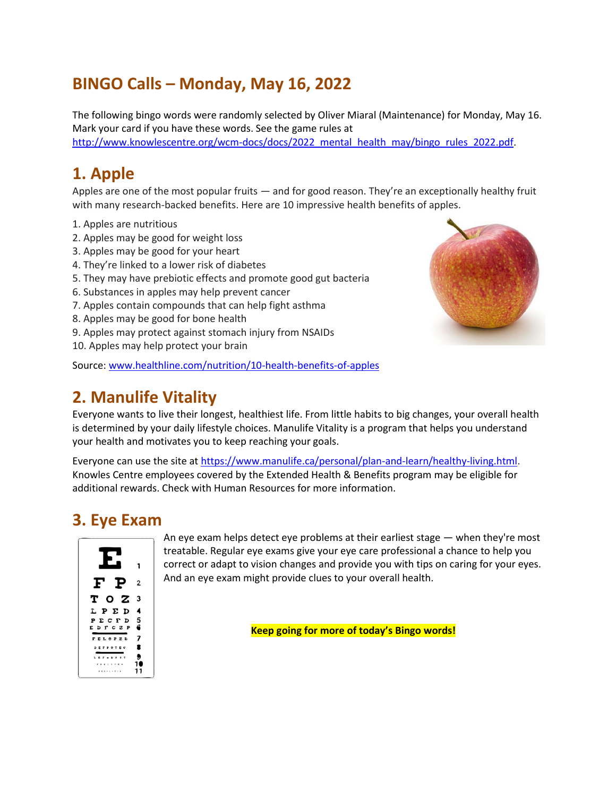# **BINGO Calls – Monday, May 16, 2022**

The following bingo words were randomly selected by Oliver Miaral (Maintenance) for Monday, May 16. Mark your card if you have these words. See the game rules at [http://www.knowlescentre.org/wcm-docs/docs/2022\\_mental\\_health\\_may/bingo\\_rules\\_2022.pdf.](http://www.knowlescentre.org/wcm-docs/docs/2022_mental_health_may/bingo_rules_2022.pdf)

### **1. Apple**

Apples are one of the most popular fruits — and for good reason. They're an exceptionally healthy fruit with many research-backed benefits. Here are 10 impressive health benefits of apples.

- 1. Apples are nutritious
- 2. Apples may be good for weight loss
- 3. Apples may be good for your heart
- 4. They're linked to a lower risk of diabetes
- 5. They may have prebiotic effects and promote good gut bacteria
- 6. Substances in apples may help prevent cancer
- 7. Apples contain compounds that can help fight asthma
- 8. Apples may be good for bone health
- 9. Apples may protect against stomach injury from NSAIDs
- 10. Apples may help protect your brain

Source: [www.healthline.com/nutrition/10-health-benefits-of-apples](http://www.healthline.com/nutrition/10-health-benefits-of-apples)

## **2. Manulife Vitality**

Everyone wants to live their longest, healthiest life. From little habits to big changes, your overall health is determined by your daily lifestyle choices. Manulife Vitality is a program that helps you understand your health and motivates you to keep reaching your goals.

Everyone can use the site a[t https://www.manulife.ca/personal/plan-and-learn/healthy-living.html.](https://www.manulife.ca/personal/plan-and-learn/healthy-living.html) Knowles Centre employees covered by the Extended Health & Benefits program may be eligible for additional rewards. Check with Human Resources for more information.

# **3. Eye Exam**



An eye exam helps detect eye problems at their earliest stage — when they're most treatable. Regular eye exams give your eye care professional a chance to help you correct or adapt to vision changes and provide you with tips on caring for your eyes. And an eye exam might provide clues to your overall health.

**Keep going for more of today's Bingo words!**

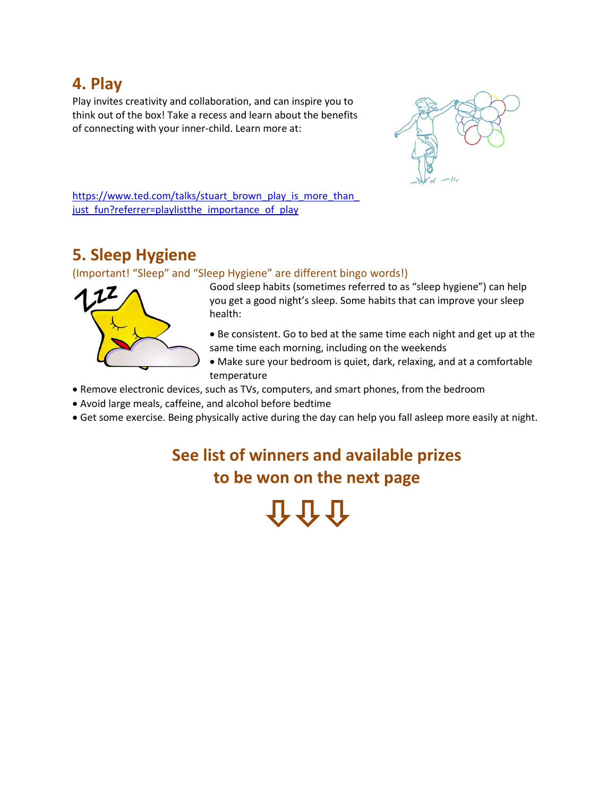### **4. Play**

Play invites creativity and collaboration, and can inspire you to think out of the box! Take a recess and learn about the benefits of connecting with your inner-child. Learn more at:



https://www.ted.com/talks/stuart\_brown\_play\_is\_more\_than just fun?referrer=playlistthe importance of play

# **5. Sleep Hygiene**

#### (Important! "Sleep" and "Sleep Hygiene" are different bingo words!)



Good sleep habits (sometimes referred to as "sleep hygiene") can help you get a good night's sleep. Some habits that can improve your sleep health:

- Be consistent. Go to bed at the same time each night and get up at the same time each morning, including on the weekends
- Make sure your bedroom is quiet, dark, relaxing, and at a comfortable temperature
- Remove electronic devices, such as TVs, computers, and smart phones, from the bedroom
- Avoid large meals, caffeine, and alcohol before bedtime
- Get some exercise. Being physically active during the day can help you fall asleep more easily at night.

# **See list of winners and available prizes to be won on the next page**

介介介